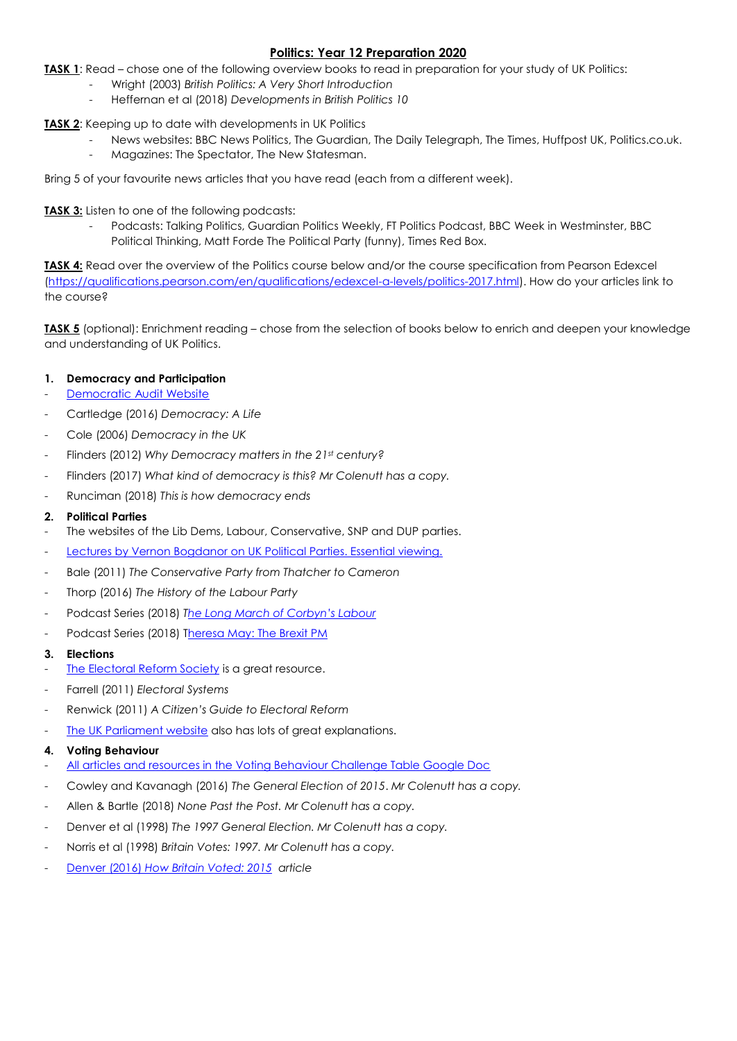## **Politics: Year 12 Preparation 2020**

**TASK 1**: Read – chose one of the following overview books to read in preparation for your study of UK Politics:

- Wright (2003) *British Politics: A Very Short Introduction*
- Heffernan et al (2018) *Developments in British Politics 10*

**TASK 2**: Keeping up to date with developments in UK Politics

- News websites: BBC News Politics, The Guardian, The Daily Telegraph, The Times, Huffpost UK, Politics.co.uk.
- Magazines: The Spectator, The New Statesman.

Bring 5 of your favourite news articles that you have read (each from a different week).

**TASK 3:** Listen to one of the following podcasts:

Podcasts: Talking Politics, Guardian Politics Weekly, FT Politics Podcast, BBC Week in Westminster, BBC Political Thinking, Matt Forde The Political Party (funny), Times Red Box.

**TASK 4:** Read over the overview of the Politics course below and/or the course specification from Pearson Edexcel [\(https://qualifications.pearson.com/en/qualifications/edexcel-a-levels/politics-2017.html\)](https://qualifications.pearson.com/en/qualifications/edexcel-a-levels/politics-2017.html). How do your articles link to the course?

**TASK 5** (optional): Enrichment reading – chose from the selection of books below to enrich and deepen your knowledge and understanding of UK Politics.

### **1. Democracy and Participation**

- [Democratic Audit Website](http://www.democraticaudit.com/the-uks-changing-democracy-the-2018-democratic-audit/)
- Cartledge (2016) *Democracy: A Life*
- Cole (2006) *Democracy in the UK*
- Flinders (2012) *Why Democracy matters in the 21st century?*
- Flinders (2017) *What kind of democracy is this? Mr Colenutt has a copy.*
- Runciman (2018) *This is how democracy ends*

#### **2. Political Parties**

- The websites of the Lib Dems, Labour, Conservative, SNP and DUP parties.
- Lectures by Vernon Boadanor on UK Political Parties. Essential viewing.
- Bale (2011) *The Conservative Party from Thatcher to Cameron*
- Thorp (2016) *The History of the Labour Party*
- Podcast Series (2018) *T[he Long March of Corbyn's Labour](https://www.bbc.co.uk/sounds/play/b0b5stvx)*
- Podcast Series (2018) Theresa May: [The Brexit PM](https://www.bbc.co.uk/programmes/m00039mx/episodes/player)

#### **3. Elections**

- [The Electoral Reform Society](https://www.electoral-reform.org.uk/) is a great resource.
- Farrell (2011) *Electoral Systems*
- Renwick (2011) *A Citizen's Guide to Electoral Reform*
- [The UK Parliament website](https://www.parliament.uk/about/how/elections-and-voting/voting-systems/) also has lots of great explanations.

#### **4. Voting Behaviour**

- All articles and [resources in the Voting Behaviour Challenge Table Google Doc](https://docs.google.com/document/d/1H1ZkNH6McJKrK-UbB_Zt33bHZFGWD861VWmVN53OC8M/edit?usp=sharing)
- Cowley and Kavanagh (2016) *The General Election of 2015*. *Mr Colenutt has a copy.*
- Allen & Bartle (2018) *None Past the Post. Mr Colenutt has a copy.*
- Denver et al (1998) *The 1997 General Election. Mr Colenutt has a copy.*
- Norris et al (1998) *Britain Votes: 1997. Mr Colenutt has a copy.*
- Denver (2016) *[How Britain Voted: 2015](https://drive.google.com/file/d/1KzQoxzue5JL8_6C1iNSa-X1KyfZ-l0-b/view) article*